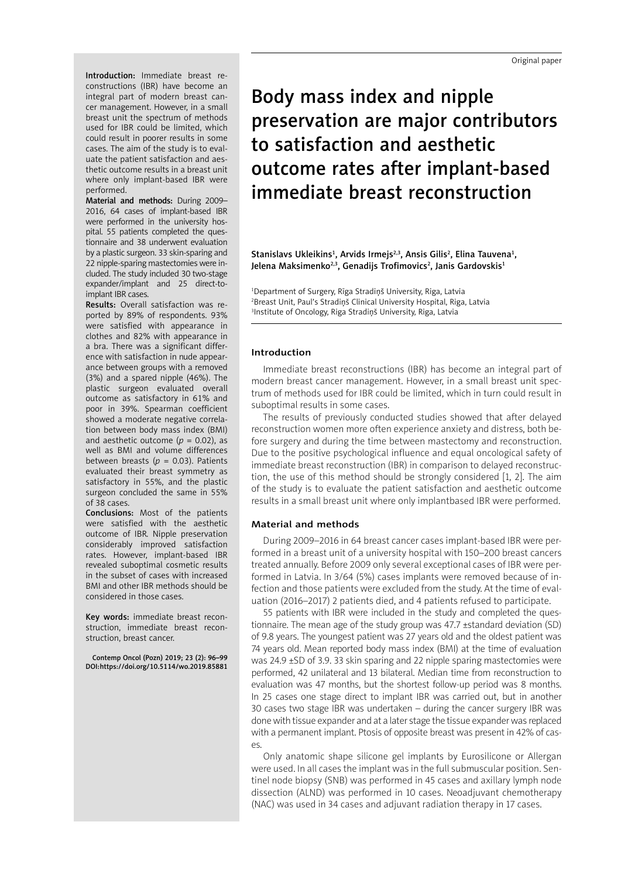Introduction: Immediate breast reconstructions (IBR) have become an integral part of modern breast cancer management. However, in a small breast unit the spectrum of methods used for IBR could be limited, which could result in poorer results in some cases. The aim of the study is to evaluate the patient satisfaction and aesthetic outcome results in a breast unit where only implant-based IBR were performed.

Material and methods: During 2009– 2016, 64 cases of implant-based IBR were performed in the university hospital. 55 patients completed the questionnaire and 38 underwent evaluation by a plastic surgeon. 33 skin-sparing and 22 nipple-sparing mastectomies were included. The study included 30 two-stage expander/implant and 25 direct-toimplant IBR cases.

Results: Overall satisfaction was reported by 89% of respondents. 93% were satisfied with appearance in clothes and 82% with appearance in a bra. There was a significant difference with satisfaction in nude appearance between groups with a removed (3%) and a spared nipple (46%). The plastic surgeon evaluated overall outcome as satisfactory in 61% and poor in 39%. Spearman coefficient showed a moderate negative correlation between body mass index (BMI) and aesthetic outcome  $(p = 0.02)$ , as well as BMI and volume differences between breasts ( $p = 0.03$ ). Patients evaluated their breast symmetry as satisfactory in 55%, and the plastic surgeon concluded the same in 55% of 38 cases.

Conclusions: Most of the patients were satisfied with the aesthetic outcome of IBR. Nipple preservation considerably improved satisfaction rates. However, implant-based IBR revealed suboptimal cosmetic results in the subset of cases with increased BMI and other IBR methods should be considered in those cases.

Key words: immediate breast reconstruction, immediate breast reconstruction, breast cancer.

Contemp Oncol (Pozn) 2019; 23 (2): 96–99 DOI: https://doi.org/10.5114/wo.2019.85881

Body mass index and nipple preservation are major contributors to satisfaction and aesthetic outcome rates after implant-based immediate breast reconstruction

Stanislavs Ukleikins<sup>1</sup>, Arvids Irmejs<sup>2,3</sup>, Ansis Gilis<sup>2</sup>, Elina Tauvena<sup>1</sup>, Jelena Maksimenko<sup>2,3</sup>, Genadijs Trofimovics<sup>2</sup>, Janis Gardovskis<sup>1</sup>

1 Department of Surgery, Rīga Stradiņš University, Riga, Latvia 2 Breast Unit, Paul's Stradiņš Clinical University Hospital, Riga, Latvia 3 Institute of Oncology, Riga Stradiņš University, Riga, Latvia

# Introduction

Immediate breast reconstructions (IBR) has become an integral part of modern breast cancer management. However, in a small breast unit spectrum of methods used for IBR could be limited, which in turn could result in suboptimal results in some cases.

The results of previously conducted studies showed that after delayed reconstruction women more often experience anxiety and distress, both before surgery and during the time between mastectomy and reconstruction. Due to the positive psychological influence and equal oncological safety of immediate breast reconstruction (IBR) in comparison to delayed reconstruction, the use of this method should be strongly considered [1, 2]. The aim of the study is to evaluate the patient satisfaction and aesthetic outcome results in a small breast unit where only implantbased IBR were performed.

## Material and methods

During 2009–2016 in 64 breast cancer cases implant-based IBR were performed in a breast unit of a university hospital with 150–200 breast cancers treated annually. Before 2009 only several exceptional cases of IBR were performed in Latvia. In 3/64 (5%) cases implants were removed because of infection and those patients were excluded from the study. At the time of evaluation (2016–2017) 2 patients died, and 4 patients refused to participate.

55 patients with IBR were included in the study and completed the questionnaire. The mean age of the study group was 47.7 ±standard deviation (SD) of 9.8 years. The youngest patient was 27 years old and the oldest patient was 74 years old. Mean reported body mass index (BMI) at the time of evaluation was 24.9 ±SD of 3.9. 33 skin sparing and 22 nipple sparing mastectomies were performed, 42 unilateral and 13 bilateral. Median time from reconstruction to evaluation was 47 months, but the shortest follow-up period was 8 months. In 25 cases one stage direct to implant IBR was carried out, but in another 30 cases two stage IBR was undertaken – during the cancer surgery IBR was done with tissue expander and at a later stage the tissue expander was replaced with a permanent implant. Ptosis of opposite breast was present in 42% of cases.

Only anatomic shape silicone gel implants by Eurosilicone or Allergan were used. In all cases the implant was in the full submuscular position. Sentinel node biopsy (SNB) was performed in 45 cases and axillary lymph node dissection (ALND) was performed in 10 cases. Neoadjuvant chemotherapy (NAC) was used in 34 cases and adjuvant radiation therapy in 17 cases.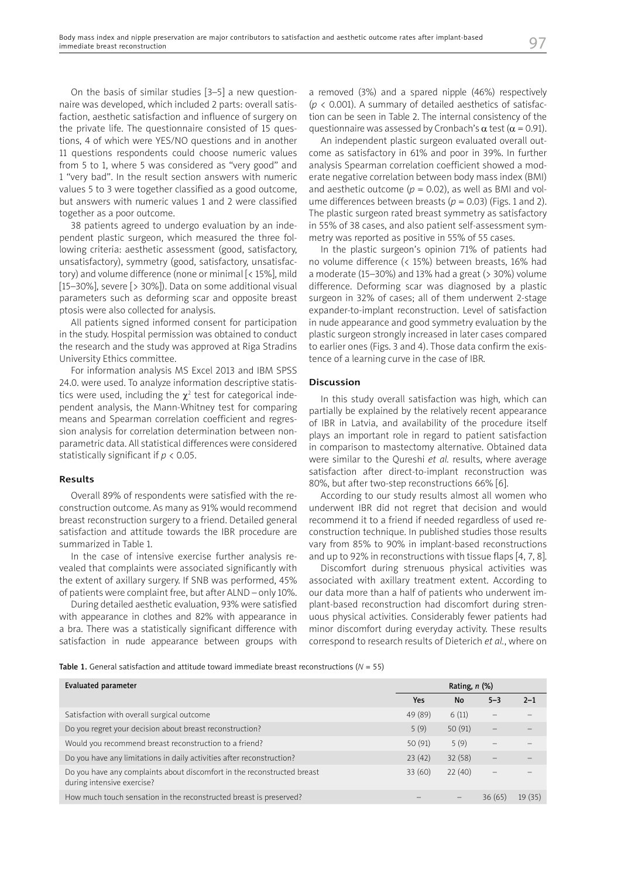On the basis of similar studies [3–5] a new questionnaire was developed, which included 2 parts: overall satisfaction, aesthetic satisfaction and influence of surgery on the private life. The questionnaire consisted of 15 questions, 4 of which were YES/NO questions and in another 11 questions respondents could choose numeric values from 5 to 1, where 5 was considered as "very good" and 1 "very bad". In the result section answers with numeric values 5 to 3 were together classified as a good outcome, but answers with numeric values 1 and 2 were classified together as a poor outcome.

38 patients agreed to undergo evaluation by an independent plastic surgeon, which measured the three following criteria: aesthetic assessment (good, satisfactory, unsatisfactory), symmetry (good, satisfactory, unsatisfactory) and volume difference (none or minimal [< 15%], mild [15–30%], severe [> 30%]). Data on some additional visual parameters such as deforming scar and opposite breast ptosis were also collected for analysis.

All patients signed informed consent for participation in the study. Hospital permission was obtained to conduct the research and the study was approved at Riga Stradins University Ethics committee.

For information analysis MS Excel 2013 and IBM SPSS 24.0. were used. To analyze information descriptive statistics were used, including the  $\chi^2$  test for categorical independent analysis, the Mann-Whitney test for comparing means and Spearman correlation coefficient and regression analysis for correlation determination between nonparametric data. All statistical differences were considered statistically significant if *p* < 0.05.

## Results

Overall 89% of respondents were satisfied with the reconstruction outcome. As many as 91% would recommend breast reconstruction surgery to a friend. Detailed general satisfaction and attitude towards the IBR procedure are summarized in Table 1.

In the case of intensive exercise further analysis revealed that complaints were associated significantly with the extent of axillary surgery. If SNB was performed, 45% of patients were complaint free, but after ALND – only 10%.

During detailed aesthetic evaluation, 93% were satisfied with appearance in clothes and 82% with appearance in a bra. There was a statistically significant difference with satisfaction in nude appearance between groups with a removed (3%) and a spared nipple (46%) respectively  $(p < 0.001)$ . A summary of detailed aesthetics of satisfaction can be seen in Table 2. The internal consistency of the questionnaire was assessed by Cronbach's  $\alpha$  test ( $\alpha$  = 0.91).

An independent plastic surgeon evaluated overall outcome as satisfactory in 61% and poor in 39%. In further analysis Spearman correlation coefficient showed a moderate negative correlation between body mass index (BMI) and aesthetic outcome  $(p = 0.02)$ , as well as BMI and volume differences between breasts ( $p = 0.03$ ) (Figs. 1 and 2). The plastic surgeon rated breast symmetry as satisfactory in 55% of 38 cases, and also patient self-assessment symmetry was reported as positive in 55% of 55 cases.

In the plastic surgeon's opinion 71% of patients had no volume difference (< 15%) between breasts, 16% had a moderate (15–30%) and 13% had a great ( $>$  30%) volume difference. Deforming scar was diagnosed by a plastic surgeon in 32% of cases; all of them underwent 2-stage expander-to-implant reconstruction. Level of satisfaction in nude appearance and good symmetry evaluation by the plastic surgeon strongly increased in later cases compared to earlier ones (Figs. 3 and 4). Those data confirm the existence of a learning curve in the case of IBR.

# Discussion

In this study overall satisfaction was high, which can partially be explained by the relatively recent appearance of IBR in Latvia, and availability of the procedure itself plays an important role in regard to patient satisfaction in comparison to mastectomy alternative. Obtained data were similar to the Qureshi *et al.* results, where average satisfaction after direct-to-implant reconstruction was 80%, but after two-step reconstructions 66% [6].

According to our study results almost all women who underwent IBR did not regret that decision and would recommend it to a friend if needed regardless of used reconstruction technique. In published studies those results vary from 85% to 90% in implant-based reconstructions and up to 92% in reconstructions with tissue flaps [4, 7, 8].

Discomfort during strenuous physical activities was associated with axillary treatment extent. According to our data more than a half of patients who underwent implant-based reconstruction had discomfort during strenuous physical activities. Considerably fewer patients had minor discomfort during everyday activity. These results correspond to research results of Dieterich *et al.*, where on

Table 1. General satisfaction and attitude toward immediate breast reconstructions ( $N = 55$ )

| Evaluated parameter                                                                                   | Rating, $n$ (%) |                 |         |         |
|-------------------------------------------------------------------------------------------------------|-----------------|-----------------|---------|---------|
|                                                                                                       | Yes             | <b>No</b>       | $5 - 3$ | $2 - 1$ |
| Satisfaction with overall surgical outcome                                                            | 49 (89)         | 6(11)           |         |         |
| Do you regret your decision about breast reconstruction?                                              | 5(9)            | 50(91)          |         |         |
| Would you recommend breast reconstruction to a friend?                                                | 50(91)          | 5(9)            |         |         |
| Do you have any limitations in daily activities after reconstruction?                                 | 23(42)          | 32(58)          |         |         |
| Do you have any complaints about discomfort in the reconstructed breast<br>during intensive exercise? | 33(60)          | 22(40)          |         |         |
| How much touch sensation in the reconstructed breast is preserved?                                    |                 | $\qquad \qquad$ | 36(65)  | 19(35)  |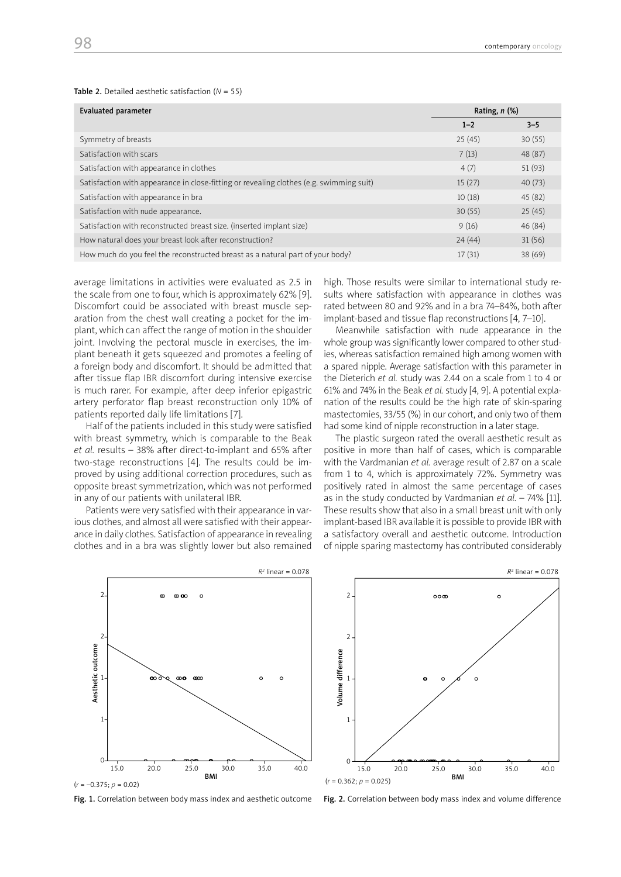### Table 2. Detailed aesthetic satisfaction (*N* = 55)

| <b>Evaluated parameter</b>                                                              | Rating, $n$ (%) |         |  |
|-----------------------------------------------------------------------------------------|-----------------|---------|--|
|                                                                                         | $1 - 2$         | $3 - 5$ |  |
| Symmetry of breasts                                                                     | 25(45)          | 30(55)  |  |
| Satisfaction with scars                                                                 | 7(13)           | 48 (87) |  |
| Satisfaction with appearance in clothes                                                 | 4(7)            | 51(93)  |  |
| Satisfaction with appearance in close-fitting or revealing clothes (e.g. swimming suit) | 15(27)          | 40(73)  |  |
| Satisfaction with appearance in bra                                                     | 10(18)          | 45 (82) |  |
| Satisfaction with nude appearance.                                                      | 30(55)          | 25(45)  |  |
| Satisfaction with reconstructed breast size. (inserted implant size)                    | 9(16)           | 46 (84) |  |
| How natural does your breast look after reconstruction?                                 | 24(44)          | 31(56)  |  |
| How much do you feel the reconstructed breast as a natural part of your body?           | 17(31)          | 38(69)  |  |
|                                                                                         |                 |         |  |

average limitations in activities were evaluated as 2.5 in the scale from one to four, which is approximately 62% [9]. Discomfort could be associated with breast muscle separation from the chest wall creating a pocket for the implant, which can affect the range of motion in the shoulder joint. Involving the pectoral muscle in exercises, the implant beneath it gets squeezed and promotes a feeling of a foreign body and discomfort. It should be admitted that after tissue flap IBR discomfort during intensive exercise is much rarer. For example, after deep inferior epigastric artery perforator flap breast reconstruction only 10% of patients reported daily life limitations [7].

Half of the patients included in this study were satisfied with breast symmetry, which is comparable to the Beak *et al.* results – 38% after direct-to-implant and 65% after two-stage reconstructions [4]. The results could be improved by using additional correction procedures, such as opposite breast symmetrization, which was not performed in any of our patients with unilateral IBR.

Patients were very satisfied with their appearance in various clothes, and almost all were satisfied with their appearance in daily clothes. Satisfaction of appearance in revealing clothes and in a bra was slightly lower but also remained high. Those results were similar to international study results where satisfaction with appearance in clothes was rated between 80 and 92% and in a bra 74–84%, both after implant-based and tissue flap reconstructions [4, 7–10].

Meanwhile satisfaction with nude appearance in the whole group was significantly lower compared to other studies, whereas satisfaction remained high among women with a spared nipple. Average satisfaction with this parameter in the Dieterich *et al.* study was 2.44 on a scale from 1 to 4 or 61% and 74% in the Beak *et al.* study [4, 9]. A potential explanation of the results could be the high rate of skin-sparing mastectomies, 33/55 (%) in our cohort, and only two of them had some kind of nipple reconstruction in a later stage.

The plastic surgeon rated the overall aesthetic result as positive in more than half of cases, which is comparable with the Vardmanian *et al.* average result of 2.87 on a scale from 1 to 4, which is approximately 72%. Symmetry was positively rated in almost the same percentage of cases as in the study conducted by Vardmanian *et al.* – 74% [11]. These results show that also in a small breast unit with only implant-based IBR available it is possible to provide IBR with a satisfactory overall and aesthetic outcome. Introduction of nipple sparing mastectomy has contributed considerably



Fig. 1. Correlation between body mass index and aesthetic outcome Fig. 2. Correlation between body mass index and volume difference